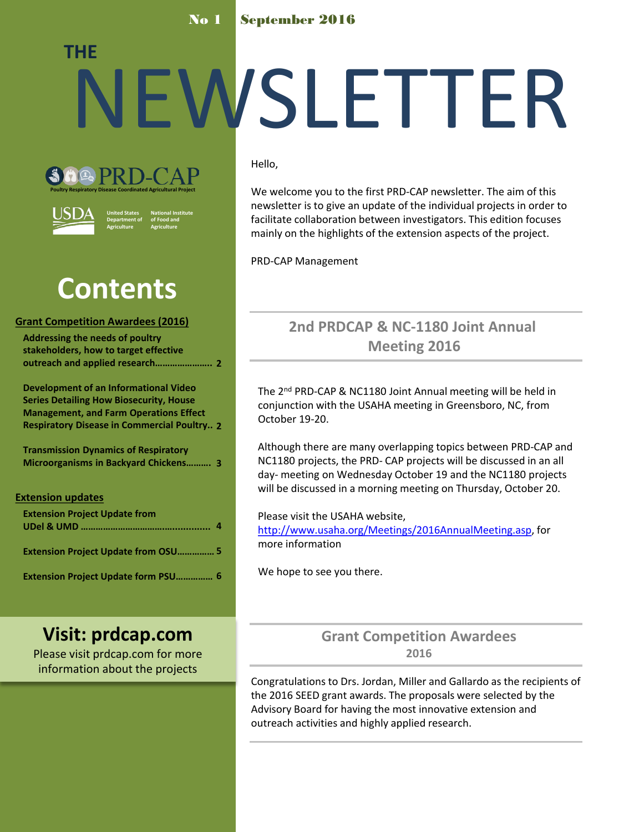### No 1 September 2016

# NEWSLETTER **THE**





**United States Department of Agriculture National Institute of Food and Agriculture**

# **Contents**

### **Grant Competition Awardees (2016)**

| <b>Addressing the needs of poultry</b> |  |
|----------------------------------------|--|
| stakeholders, how to target effective  |  |
|                                        |  |

**Development of an Informational Video Series Detailing How Biosecurity, House Management, and Farm Operations Effect Respiratory Disease in Commercial Poultry.. 2**

**Transmission Dynamics of Respiratory Microorganisms in Backyard Chickens………. 3**

### **Extension updates**

| <b>Extension Project Update from</b>       |  |
|--------------------------------------------|--|
| <b>Extension Project Update from OSU 5</b> |  |
| <b>Extension Project Update form PSU 6</b> |  |

### **Visit: prdcap.com**

Please visit prdcap.com for more information about the projects

### Hello,

We welcome you to the first PRD-CAP newsletter. The aim of this newsletter is to give an update of the individual projects in order to facilitate collaboration between investigators. This edition focuses mainly on the highlights of the extension aspects of the project.

PRD-CAP Management

### **2nd PRDCAP & NC-1180 Joint Annual Meeting 2016**

The 2nd PRD-CAP & NC1180 Joint Annual meeting will be held in conjunction with the USAHA meeting in Greensboro, NC, from October 19-20.

Although there are many overlapping topics between PRD-CAP and NC1180 projects, the PRD- CAP projects will be discussed in an all day- meeting on Wednesday October 19 and the NC1180 projects will be discussed in a morning meeting on Thursday, October 20.

### Please visit the USAHA website,

<http://www.usaha.org/Meetings/2016AnnualMeeting.asp>, for more information

We hope to see you there.

### **Grant Competition Awardees 2016**

Congratulations to Drs. Jordan, Miller and Gallardo as the recipients of the 2016 SEED grant awards. The proposals were selected by the Advisory Board for having the most innovative extension and outreach activities and highly applied research.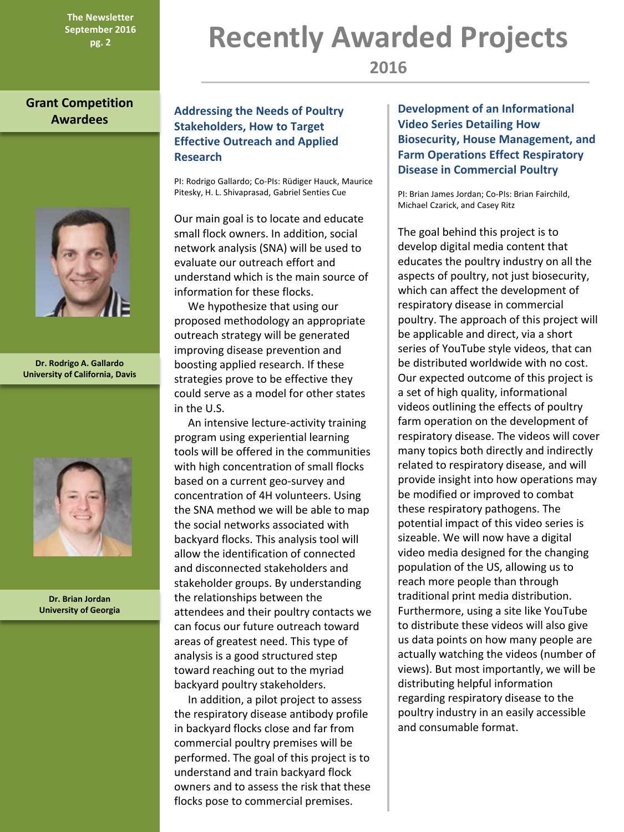**The Newsletter September 2016**

### **Grant Competition Awardees**



**Dr. Rodrigo A. Gallardo University of California, Davis**



**Dr. Brian Jordan University of Georgia**

### **Addressing the Needs of Poultry Stakeholders, How to Target Effective Outreach and Applied Research**

PI: Rodrigo Gallardo; Co-PIs: Rüdiger Hauck, Maurice Pitesky, H. L. Shivaprasad, Gabriel Senties Cue

Our main goal is to locate and educate small flock owners. In addition, social network analysis (SNA) will be used to evaluate our outreach effort and understand which is the main source of information for these flocks.

 We hypothesize that using our proposed methodology an appropriate outreach strategy will be generated improving disease prevention and boosting applied research. If these strategies prove to be effective they could serve as a model for other states in the U.S.

 An intensive lecture-activity training program using experiential learning tools will be offered in the communities with high concentration of small flocks based on a current geo-survey and concentration of 4H volunteers. Using the SNA method we will be able to map the social networks associated with backyard flocks. This analysis tool will allow the identification of connected and disconnected stakeholders and stakeholder groups. By understanding the relationships between the attendees and their poultry contacts we can focus our future outreach toward areas of greatest need. This type of analysis is a good structured step toward reaching out to the myriad backyard poultry stakeholders.

 In addition, a pilot project to assess the respiratory disease antibody profile in backyard flocks close and far from commercial poultry premises will be performed. The goal of this project is to understand and train backyard flock owners and to assess the risk that these flocks pose to commercial premises.

# **Pg. 2 Recently Awarded Projects**

**Development of an Informational Video Series Detailing How Biosecurity, House Management, and Farm Operations Effect Respiratory Disease in Commercial Poultry**

PI: Brian James Jordan; Co-PIs: Brian Fairchild, Michael Czarick, and Casey Ritz

The goal behind this project is to develop digital media content that educates the poultry industry on all the aspects of poultry, not just biosecurity, which can affect the development of respiratory disease in commercial poultry. The approach of this project will be applicable and direct, via a short series of YouTube style videos, that can be distributed worldwide with no cost. Our expected outcome of this project is a set of high quality, informational videos outlining the effects of poultry farm operation on the development of respiratory disease. The videos will cover many topics both directly and indirectly related to respiratory disease, and will provide insight into how operations may be modified or improved to combat these respiratory pathogens. The potential impact of this video series is sizeable. We will now have a digital video media designed for the changing population of the US, allowing us to reach more people than through traditional print media distribution. Furthermore, using a site like YouTube to distribute these videos will also give us data points on how many people are actually watching the videos (number of views). But most importantly, we will be distributing helpful information regarding respiratory disease to the poultry industry in an easily accessible and consumable format.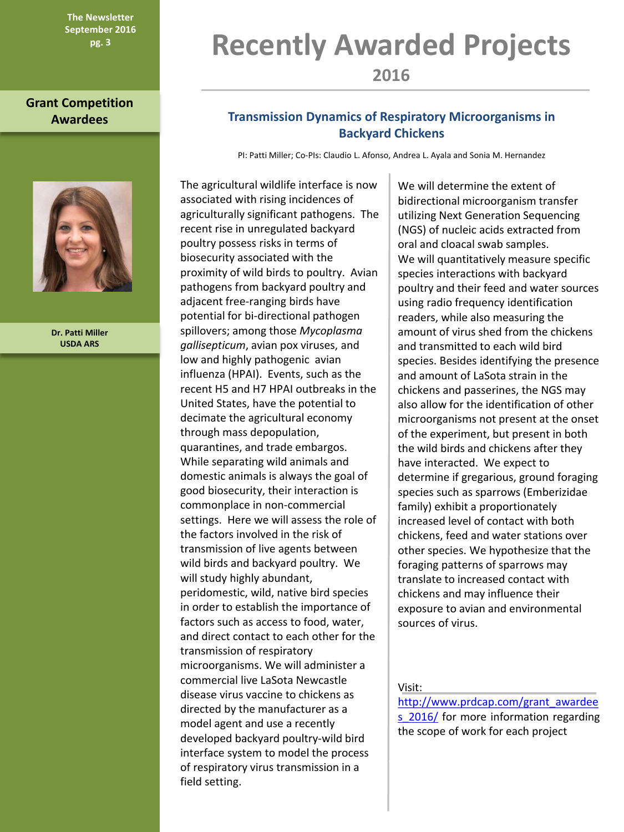**The Newsletter September 2016**

**Grant Competition** 



**Dr. Patti Miller USDA ARS**

# **Recently Awarded Projects**

**2016**

### **Awardees Transmission Dynamics of Respiratory Microorganisms in Backyard Chickens**

PI: Patti Miller; Co-PIs: Claudio L. Afonso, Andrea L. Ayala and Sonia M. Hernandez

The agricultural wildlife interface is now associated with rising incidences of agriculturally significant pathogens. The recent rise in unregulated backyard poultry possess risks in terms of biosecurity associated with the proximity of wild birds to poultry. Avian pathogens from backyard poultry and adjacent free-ranging birds have potential for bi-directional pathogen spillovers; among those *Mycoplasma gallisepticum*, avian pox viruses, and low and highly pathogenic avian influenza (HPAI). Events, such as the recent H5 and H7 HPAI outbreaks in the United States, have the potential to decimate the agricultural economy through mass depopulation, quarantines, and trade embargos. While separating wild animals and domestic animals is always the goal of good biosecurity, their interaction is commonplace in non-commercial settings. Here we will assess the role of the factors involved in the risk of transmission of live agents between wild birds and backyard poultry. We will study highly abundant, peridomestic, wild, native bird species in order to establish the importance of factors such as access to food, water, and direct contact to each other for the transmission of respiratory microorganisms. We will administer a commercial live LaSota Newcastle disease virus vaccine to chickens as directed by the manufacturer as a model agent and use a recently developed backyard poultry-wild bird interface system to model the process of respiratory virus transmission in a field setting.

We will determine the extent of bidirectional microorganism transfer utilizing Next Generation Sequencing (NGS) of nucleic acids extracted from oral and cloacal swab samples. We will quantitatively measure specific species interactions with backyard poultry and their feed and water sources using radio frequency identification readers, while also measuring the amount of virus shed from the chickens and transmitted to each wild bird species. Besides identifying the presence and amount of LaSota strain in the chickens and passerines, the NGS may also allow for the identification of other microorganisms not present at the onset of the experiment, but present in both the wild birds and chickens after they have interacted.We expect to determine if gregarious, ground foraging species such as sparrows (Emberizidae family) exhibit a proportionately increased level of contact with both chickens, feed and water stations over other species. We hypothesize that the foraging patterns of sparrows may translate to increased contact with chickens and may influence their exposure to avian and environmental sources of virus.

Visit:

[http://www.prdcap.com/grant\\_awardee](http://www.prdcap.com/grant_awardees_2016/) s 2016/ for more information regarding the scope of work for each project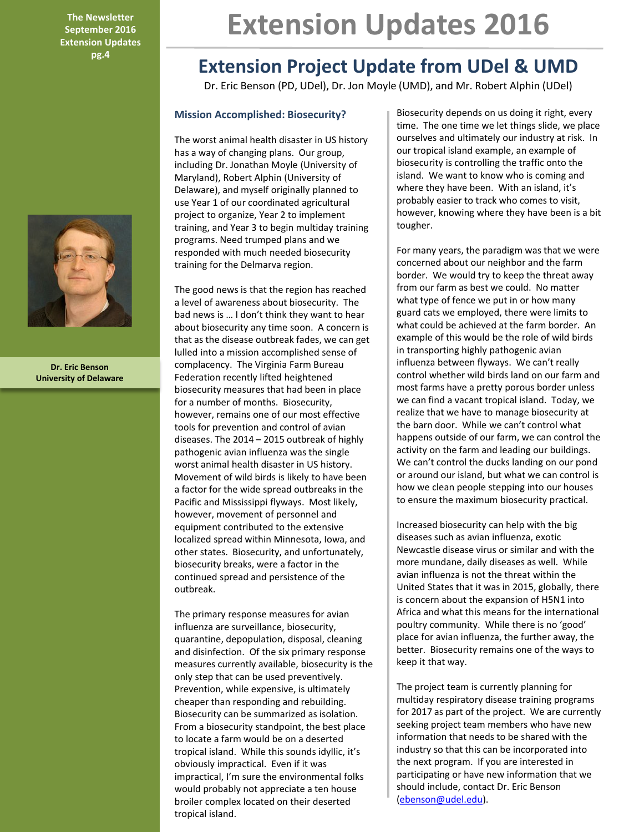**The Newsletter September 2016 Extension Updates pg.4**



**Dr. Eric Benson University of Delaware**

# **Extension Updates 2016**

### **Extension Project Update from UDel & UMD**

Dr. Eric Benson (PD, UDel), Dr. Jon Moyle (UMD), and Mr. Robert Alphin (UDel)

### **Mission Accomplished: Biosecurity?**

The worst animal health disaster in US history has a way of changing plans. Our group, including Dr. Jonathan Moyle (University of Maryland), Robert Alphin (University of Delaware), and myself originally planned to use Year 1 of our coordinated agricultural project to organize, Year 2 to implement training, and Year 3 to begin multiday training programs. Need trumped plans and we responded with much needed biosecurity training for the Delmarva region.

The good news is that the region has reached a level of awareness about biosecurity. The bad news is … I don't think they want to hear about biosecurity any time soon. A concern is that as the disease outbreak fades, we can get lulled into a mission accomplished sense of complacency. The Virginia Farm Bureau Federation recently lifted heightened biosecurity measures that had been in place for a number of months. Biosecurity, however, remains one of our most effective tools for prevention and control of avian diseases. The 2014 – 2015 outbreak of highly pathogenic avian influenza was the single worst animal health disaster in US history. Movement of wild birds is likely to have been a factor for the wide spread outbreaks in the Pacific and Mississippi flyways. Most likely, however, movement of personnel and equipment contributed to the extensive localized spread within Minnesota, Iowa, and other states. Biosecurity, and unfortunately, biosecurity breaks, were a factor in the continued spread and persistence of the outbreak.

The primary response measures for avian influenza are surveillance, biosecurity, quarantine, depopulation, disposal, cleaning and disinfection. Of the six primary response measures currently available, biosecurity is the only step that can be used preventively. Prevention, while expensive, is ultimately cheaper than responding and rebuilding. Biosecurity can be summarized as isolation. From a biosecurity standpoint, the best place to locate a farm would be on a deserted tropical island. While this sounds idyllic, it's obviously impractical. Even if it was impractical, I'm sure the environmental folks would probably not appreciate a ten house broiler complex located on their deserted tropical island.

Biosecurity depends on us doing it right, every time. The one time we let things slide, we place ourselves and ultimately our industry at risk. In our tropical island example, an example of biosecurity is controlling the traffic onto the island. We want to know who is coming and where they have been. With an island, it's probably easier to track who comes to visit, however, knowing where they have been is a bit tougher.

For many years, the paradigm was that we were concerned about our neighbor and the farm border. We would try to keep the threat away from our farm as best we could. No matter what type of fence we put in or how many guard cats we employed, there were limits to what could be achieved at the farm border. An example of this would be the role of wild birds in transporting highly pathogenic avian influenza between flyways. We can't really control whether wild birds land on our farm and most farms have a pretty porous border unless we can find a vacant tropical island. Today, we realize that we have to manage biosecurity at the barn door. While we can't control what happens outside of our farm, we can control the activity on the farm and leading our buildings. We can't control the ducks landing on our pond or around our island, but what we can control is how we clean people stepping into our houses to ensure the maximum biosecurity practical.

Increased biosecurity can help with the big diseases such as avian influenza, exotic Newcastle disease virus or similar and with the more mundane, daily diseases as well. While avian influenza is not the threat within the United States that it was in 2015, globally, there is concern about the expansion of H5N1 into Africa and what this means for the international poultry community. While there is no 'good' place for avian influenza, the further away, the better. Biosecurity remains one of the ways to keep it that way.

The project team is currently planning for multiday respiratory disease training programs for 2017 as part of the project. We are currently seeking project team members who have new information that needs to be shared with the industry so that this can be incorporated into the next program. If you are interested in participating or have new information that we should include, contact Dr. Eric Benson ([ebenson@udel.edu\)](mailto:ebenson@udel.edu).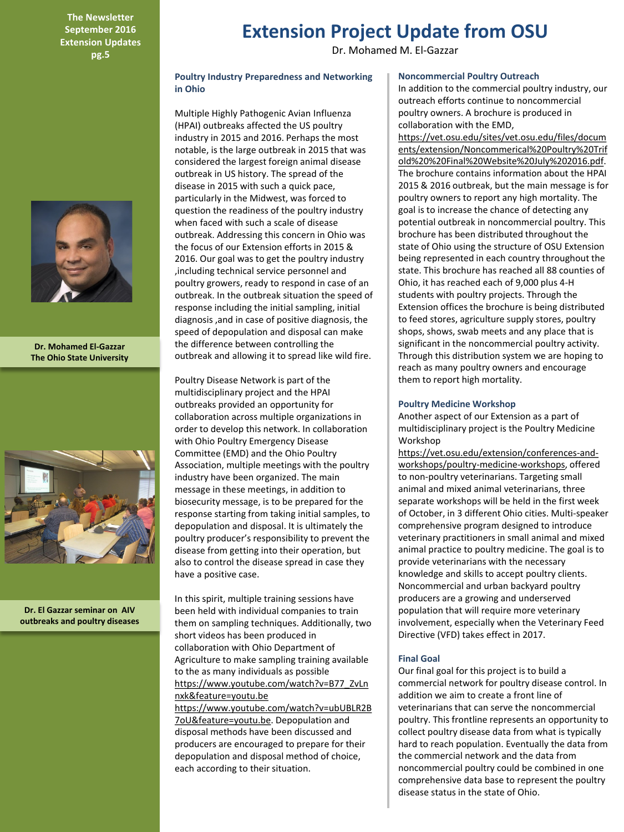**The Newsletter September 2016 Extension Updates pg.5**



**Dr. Mohamed El-Gazzar The Ohio State University**



**Dr. El Gazzar seminar on AIV outbreaks and poultry diseases**

## **Extension Project Update from OSU**

Dr. Mohamed M. El-Gazzar

#### **Poultry Industry Preparedness and Networking in Ohio**

Multiple Highly Pathogenic Avian Influenza (HPAI) outbreaks affected the US poultry industry in 2015 and 2016. Perhaps the most notable, is the large outbreak in 2015 that was considered the largest foreign animal disease outbreak in US history. The spread of the disease in 2015 with such a quick pace, particularly in the Midwest, was forced to question the readiness of the poultry industry when faced with such a scale of disease outbreak. Addressing this concern in Ohio was the focus of our Extension efforts in 2015 & 2016. Our goal was to get the poultry industry ,including technical service personnel and poultry growers, ready to respond in case of an outbreak. In the outbreak situation the speed of response including the initial sampling, initial diagnosis ,and in case of positive diagnosis, the speed of depopulation and disposal can make the difference between controlling the outbreak and allowing it to spread like wild fire.

Poultry Disease Network is part of the multidisciplinary project and the HPAI outbreaks provided an opportunity for collaboration across multiple organizations in order to develop this network. In collaboration with Ohio Poultry Emergency Disease Committee (EMD) and the Ohio Poultry Association, multiple meetings with the poultry industry have been organized. The main message in these meetings, in addition to biosecurity message, is to be prepared for the response starting from taking initial samples, to depopulation and disposal. It is ultimately the poultry producer's responsibility to prevent the disease from getting into their operation, but also to control the disease spread in case they have a positive case.

In this spirit, multiple training sessions have been held with individual companies to train them on sampling techniques. Additionally, two short videos has been produced in collaboration with Ohio Department of Agriculture to make sampling training available to the as many individuals as possible https://www.youtube.com/watch?v=B77\_ZvLn nxk&feature=youtu.be

https://www.youtube.com/watch?v=ubUBLR2B 7oU&feature=youtu.be. Depopulation and disposal methods have been discussed and producers are encouraged to prepare for their depopulation and disposal method of choice, each according to their situation.

#### **Noncommercial Poultry Outreach**

In addition to the commercial poultry industry, our outreach efforts continue to noncommercial poultry owners. A brochure is produced in collaboration with the EMD,

https://vet.osu.edu/sites/vet.osu.edu/files/docum ents/extension/Noncommerical%20Poultry%20Trif old%20%20Final%20Website%20July%202016.pdf. The brochure contains information about the HPAI 2015 & 2016 outbreak, but the main message is for poultry owners to report any high mortality. The goal is to increase the chance of detecting any potential outbreak in noncommercial poultry. This brochure has been distributed throughout the state of Ohio using the structure of OSU Extension being represented in each country throughout the state. This brochure has reached all 88 counties of Ohio, it has reached each of 9,000 plus 4-H students with poultry projects. Through the Extension offices the brochure is being distributed to feed stores, agriculture supply stores, poultry shops, shows, swab meets and any place that is significant in the noncommercial poultry activity. Through this distribution system we are hoping to reach as many poultry owners and encourage them to report high mortality.

#### **Poultry Medicine Workshop**

Another aspect of our Extension as a part of multidisciplinary project is the Poultry Medicine Workshop

https://vet.osu.edu/extension/conferences-andworkshops/poultry-medicine-workshops, offered to non-poultry veterinarians. Targeting small animal and mixed animal veterinarians, three separate workshops will be held in the first week of October, in 3 different Ohio cities. Multi-speaker comprehensive program designed to introduce veterinary practitioners in small animal and mixed animal practice to poultry medicine. The goal is to provide veterinarians with the necessary knowledge and skills to accept poultry clients. Noncommercial and urban backyard poultry producers are a growing and underserved population that will require more veterinary involvement, especially when the Veterinary Feed Directive (VFD) takes effect in 2017.

#### **Final Goal**

Our final goal for this project is to build a commercial network for poultry disease control. In addition we aim to create a front line of veterinarians that can serve the noncommercial poultry. This frontline represents an opportunity to collect poultry disease data from what is typically hard to reach population. Eventually the data from the commercial network and the data from noncommercial poultry could be combined in one comprehensive data base to represent the poultry disease status in the state of Ohio.